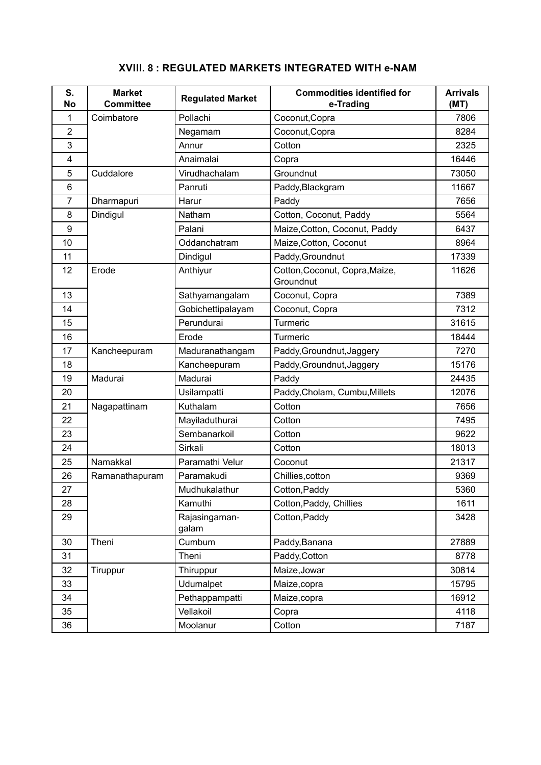| S.<br><b>No</b> | <b>Market</b><br><b>Committee</b> | <b>Regulated Market</b> | <b>Commodities identified for</b><br>e-Trading | <b>Arrivals</b><br>(MT) |
|-----------------|-----------------------------------|-------------------------|------------------------------------------------|-------------------------|
| 1               | Coimbatore                        | Pollachi                | Coconut, Copra                                 | 7806                    |
| $\overline{2}$  |                                   | Negamam                 | Coconut, Copra                                 | 8284                    |
| 3               |                                   | Annur                   | Cotton                                         | 2325                    |
| 4               |                                   | Anaimalai               | Copra                                          | 16446                   |
| 5               | Cuddalore                         | Virudhachalam           | Groundnut                                      | 73050                   |
| 6               |                                   | Panruti                 | Paddy, Blackgram                               | 11667                   |
| 7               | Dharmapuri                        | Harur                   | Paddy                                          | 7656                    |
| 8               | Dindigul                          | Natham                  | Cotton, Coconut, Paddy                         | 5564                    |
| 9               |                                   | Palani                  | Maize, Cotton, Coconut, Paddy                  | 6437                    |
| 10              |                                   | Oddanchatram            | Maize, Cotton, Coconut                         | 8964                    |
| 11              |                                   | Dindigul                | Paddy, Groundnut                               | 17339                   |
| 12              | Erode                             | Anthiyur                | Cotton, Coconut, Copra, Maize,<br>Groundnut    | 11626                   |
| 13              |                                   | Sathyamangalam          | Coconut, Copra                                 | 7389                    |
| 14              |                                   | Gobichettipalayam       | Coconut, Copra                                 | 7312                    |
| 15              |                                   | Perundurai              | Turmeric                                       | 31615                   |
| 16              |                                   | Erode                   | Turmeric                                       | 18444                   |
| 17              | Kancheepuram                      | Maduranathangam         | Paddy, Groundnut, Jaggery                      | 7270                    |
| 18              |                                   | Kancheepuram            | Paddy, Groundnut, Jaggery                      | 15176                   |
| 19              | Madurai                           | Madurai                 | Paddy                                          | 24435                   |
| 20              |                                   | Usilampatti             | Paddy, Cholam, Cumbu, Millets                  | 12076                   |
| 21              | Nagapattinam                      | Kuthalam                | Cotton                                         | 7656                    |
| 22              |                                   | Mayiladuthurai          | Cotton                                         | 7495                    |
| 23              |                                   | Sembanarkoil            | Cotton                                         | 9622                    |
| 24              |                                   | Sirkali                 | Cotton                                         | 18013                   |
| 25              | Namakkal                          | Paramathi Velur         | Coconut                                        | 21317                   |
| 26              | Ramanathapuram                    | Paramakudi              | Chillies, cotton                               | 9369                    |
| 27              |                                   | Mudhukalathur           | Cotton, Paddy                                  | 5360                    |
| 28              |                                   | Kamuthi                 | Cotton, Paddy, Chillies                        | 1611                    |
| 29              |                                   | Rajasingaman-<br>galam  | Cotton, Paddy                                  | 3428                    |
| 30              | Theni                             | Cumbum                  | Paddy, Banana                                  | 27889                   |
| 31              |                                   | Theni                   | Paddy, Cotton                                  | 8778                    |
| 32              | Tiruppur                          | Thiruppur               | Maize, Jowar                                   | 30814                   |
| 33              |                                   | Udumalpet               | Maize, copra                                   | 15795                   |
| 34              |                                   | Pethappampatti          | Maize, copra                                   | 16912                   |
| 35              |                                   | Vellakoil               | Copra                                          | 4118                    |
| 36              |                                   | Moolanur                | Cotton                                         | 7187                    |

## **XVIII. 8 : REGULATED MARKETS INTEGRATED WITH e-NAM**